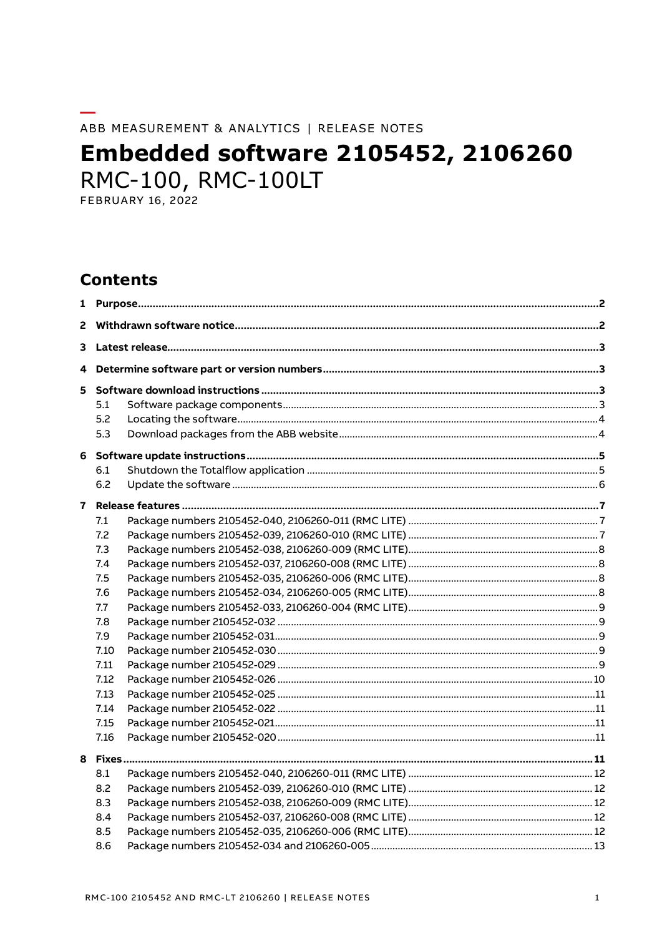#### ABB MEASUREMENT & ANALYTICS | RELEASE NOTES

# **Embedded software 2105452, 2106260** RMC-100, RMC-100LT

# **Contents**

| $\overline{2}$          |                                                                                                                     |  |  |  |  |
|-------------------------|---------------------------------------------------------------------------------------------------------------------|--|--|--|--|
| 3                       |                                                                                                                     |  |  |  |  |
| 4                       |                                                                                                                     |  |  |  |  |
| 5                       | 5.1<br>5.2<br>5.3                                                                                                   |  |  |  |  |
|                         | 6.1                                                                                                                 |  |  |  |  |
|                         | 6.2                                                                                                                 |  |  |  |  |
| $\overline{\mathbf{z}}$ | 7.1<br>7.2<br>7.3<br>7.4<br>7.5<br>7.6<br>7.7<br>7.8<br>7.9<br>7.10<br>7.11<br>7.12<br>7.13<br>7.14<br>7.15<br>7.16 |  |  |  |  |
|                         | 8.1<br>8.2<br>8.3<br>8.4<br>8.5<br>8.6                                                                              |  |  |  |  |
|                         |                                                                                                                     |  |  |  |  |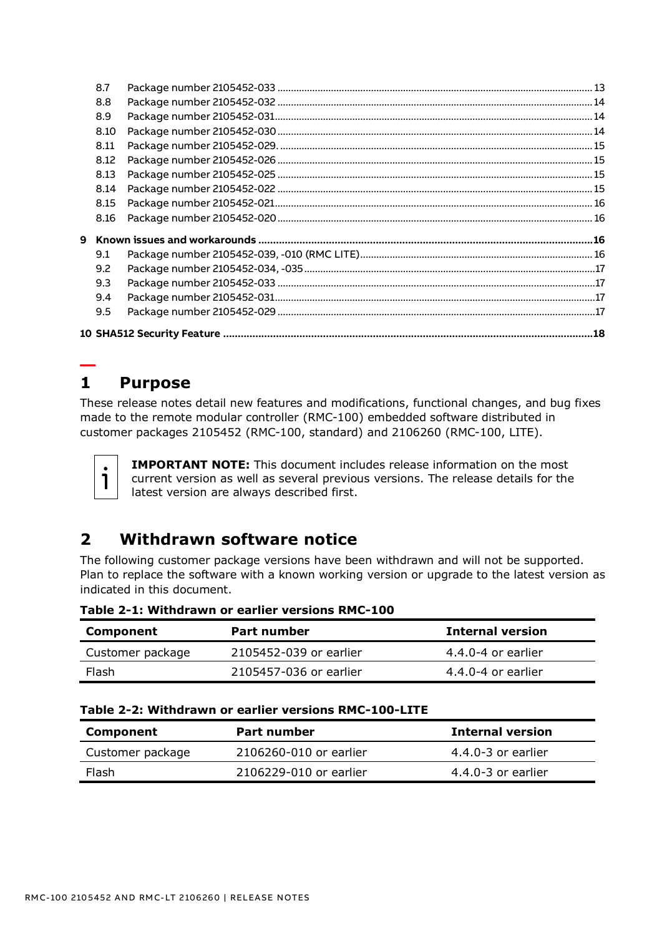| 8.7  |  |
|------|--|
| 8.8  |  |
| 8.9  |  |
| 8.10 |  |
| 8.11 |  |
| 8.12 |  |
| 8.13 |  |
| 8.14 |  |
| 8.15 |  |
| 8.16 |  |
|      |  |
| 9.1  |  |
| 9.2  |  |
| 9.3  |  |
| 9.4  |  |
| 9.5  |  |
|      |  |
|      |  |

# <span id="page-1-0"></span>**— 1 Purpose**

These release notes detail new features and modifications, functional changes, and bug fixes made to the remote modular controller (RMC-100) embedded software distributed in customer packages 2105452 (RMC-100, standard) and 2106260 (RMC-100, LITE).

ı.

**IMPORTANT NOTE:** This document includes release information on the most current version as well as several previous versions. The release details for the latest version are always described first.

# <span id="page-1-2"></span><span id="page-1-1"></span>**2 Withdrawn software notice**

The following customer package versions have been withdrawn and will not be supported. Plan to replace the software with a known working version or upgrade to the latest version as indicated in this document.

**Table 2-1: Withdrawn or earlier versions RMC-100**

| Component        | Part number            | <b>Internal version</b> |
|------------------|------------------------|-------------------------|
| Customer package | 2105452-039 or earlier | $4.4.0 - 4$ or earlier  |
| Flash            | 2105457-036 or earlier | $4.4.0 - 4$ or earlier  |

| Table 2-2: Withdrawn or earlier versions RMC-100-LITE |  |  |
|-------------------------------------------------------|--|--|
|-------------------------------------------------------|--|--|

| <b>Component</b> | Part number            | <b>Internal version</b> |
|------------------|------------------------|-------------------------|
| Customer package | 2106260-010 or earlier | $4.4.0 - 3$ or earlier  |
| Flash            | 2106229-010 or earlier | $4.4.0 - 3$ or earlier  |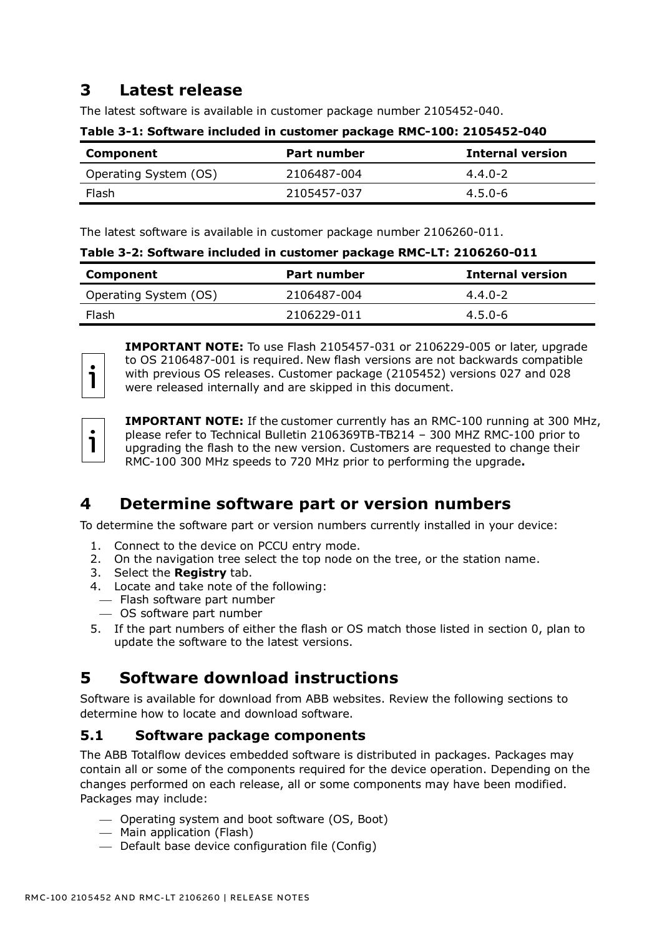# <span id="page-2-0"></span>**3 Latest release**

The latest software is available in customer package number 2105452-040.

| Component             | Part number | Internal version |
|-----------------------|-------------|------------------|
| Operating System (OS) | 2106487-004 | $4.4.0 - 2$      |
| Flash                 | 2105457-037 | $4.5.0 - 6$      |

**Table 3-1: Software included in customer package RMC-100: 2105452-040**

The latest software is available in customer package number 2106260-011.

| Table 3-2: Software included in customer package RMC-LT: 2106260-011 |  |
|----------------------------------------------------------------------|--|
|----------------------------------------------------------------------|--|

| Component             | Part number | <b>Internal version</b> |
|-----------------------|-------------|-------------------------|
| Operating System (OS) | 2106487-004 | $4.4.0 - 2$             |
| Flash                 | 2106229-011 | $4.5.0 - 6$             |



**IMPORTANT NOTE:** To use Flash 2105457-031 or 2106229-005 or later, upgrade to OS 2106487-001 is required. New flash versions are not backwards compatible with previous OS releases. Customer package (2105452) versions 027 and 028 were released internally and are skipped in this document.

1

**IMPORTANT NOTE:** If the customer currently has an RMC-100 running at 300 MHz, please refer to Technical Bulletin 2106369TB-TB214 – 300 MHZ RMC-100 prior to upgrading the flash to the new version. Customers are requested to change their RMC-100 300 MHz speeds to 720 MHz prior to performing the upgrade**.**

# <span id="page-2-1"></span>**4 Determine software part or version numbers**

To determine the software part or version numbers currently installed in your device:

- 1. Connect to the device on PCCU entry mode.
- 2. On the navigation tree select the top node on the tree, or the station name.
- 3. Select the **Registry** tab.
- 4. Locate and take note of the following:
- ⎯ Flash software part number
- ⎯ OS software part number
- 5. If the part numbers of either the flash or OS match those listed in section [0,](#page-1-2) plan to update the software to the latest versions.

# <span id="page-2-2"></span>**5 Software download instructions**

Software is available for download from ABB websites. Review the following sections to determine how to locate and download software.

## <span id="page-2-3"></span>**5.1 Software package components**

The ABB Totalflow devices embedded software is distributed in packages. Packages may contain all or some of the components required for the device operation. Depending on the changes performed on each release, all or some components may have been modified. Packages may include:

- ⎯ Operating system and boot software (OS, Boot)
- ⎯ Main application (Flash)
- $-$  Default base device configuration file (Config)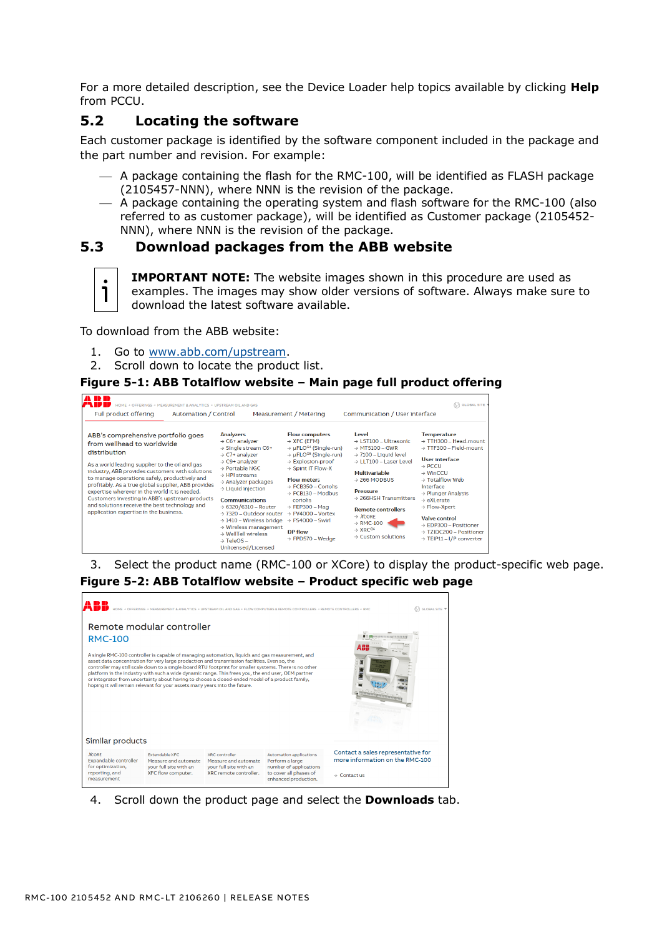For a more detailed description, see the Device Loader help topics available by clicking **Help** from PCCU.

## <span id="page-3-0"></span>**5.2 Locating the software**

Each customer package is identified by the software component included in the package and the part number and revision. For example:

- $-$  A package containing the flash for the RMC-100, will be identified as FLASH package (2105457-NNN), where NNN is the revision of the package.
- $-$  A package containing the operating system and flash software for the RMC-100 (also referred to as customer package), will be identified as Customer package (2105452- NNN), where NNN is the revision of the package.

## <span id="page-3-1"></span>**5.3 Download packages from the ABB website**



**IMPORTANT NOTE:** The website images shown in this procedure are used as examples. The images may show older versions of software. Always make sure to download the latest software available.

To download from the ABB website:

- 1. Go to [www.abb.com/upstream.](http://www.abb.com/upstream)
- 2. Scroll down to locate the product list.

#### **Figure 5-1: ABB Totalflow website – Main page full product offering**



3. Select the product name (RMC-100 or XCore) to display the product-specific web page.

# **Figure 5-2: ABB Totalflow website – Product specific web page**



4. Scroll down the product page and select the **Downloads** tab.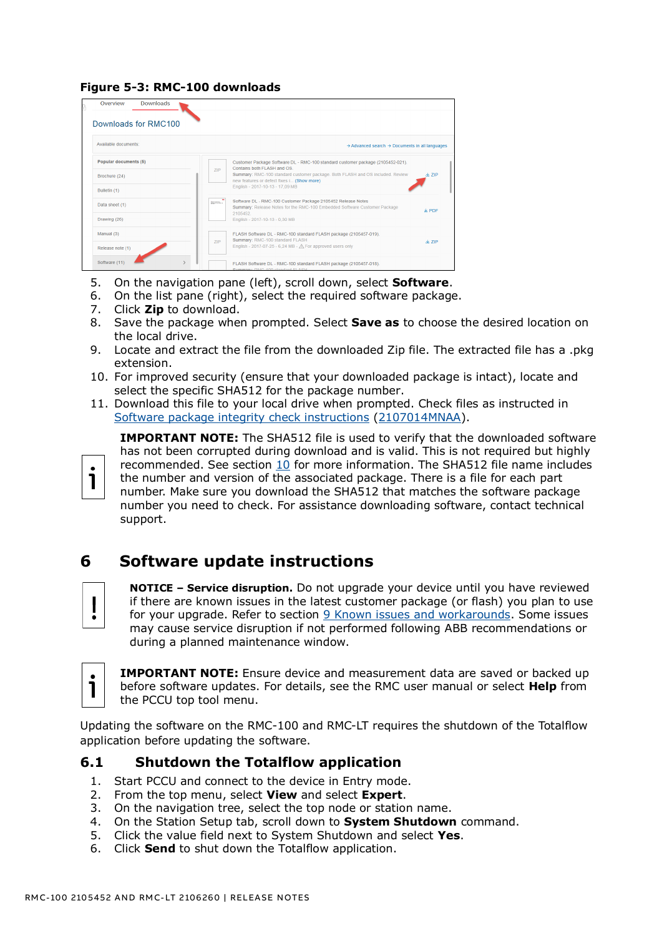#### **Figure 5-3: RMC-100 downloads**

| <b>Downloads</b><br>Overview |                                                                                                                                                     |
|------------------------------|-----------------------------------------------------------------------------------------------------------------------------------------------------|
| Downloads for RMC100         |                                                                                                                                                     |
| Available documents:         | $\rightarrow$ Advanced search $\rightarrow$ Documents in all languages                                                                              |
| Popular documents (5)        | Customer Package Software DL - RMC-100 standard customer package (2105452-021).<br>Contains both FLASH and OS.                                      |
| Brochure (24)                | <b>ZIP</b><br>Summary: RMC-100 standard customer package. Both FLASH and OS included. Review<br>A.7IP<br>new features or defect fixes i (Show more) |
| Bulletin (1)                 | English - 2017-10-13 - 17,09 MB                                                                                                                     |
| Data sheet (1)               | Software DL - RMC-100 Customer Package 2105452 Release Notes<br>imana.<br>Summary: Release Notes for the RMC-100 Embedded Software Customer Package |
| Drawing (26)                 | 火 PDF<br>2105452<br>English - 2017-10-13 - 0.30 MB                                                                                                  |
| Manual (3)                   | FLASH Software DL - RMC-100 standard FLASH package (2105457-019).                                                                                   |
| Release note (1)             | Summary: RMC-100 standard FLASH<br><b>ZIP</b><br>出 ZIP<br>English - 2017-07-25 - 6.24 MB - $\bigwedge$ For approved users only                      |
| Software (11)                | FLASH Software DL - RMC-100 standard FLASH package (2105457-018).                                                                                   |

- 5. On the navigation pane (left), scroll down, select **Software**.
- 6. On the list pane (right), select the required software package.
- 7. Click **Zip** to download.
- 8. Save the package when prompted. Select **Save as** to choose the desired location on the local drive.
- 9. Locate and extract the file from the downloaded Zip file. The extracted file has a .pkg extension.
- 10. For improved security (ensure that your downloaded package is intact), locate and select the specific SHA512 for the package number.
- 11. Download this file to your local drive when prompted. Check files as instructed in [Software package integrity check instructions](http://search.abb.com/library/Download.aspx?DocumentID=ML%2F2107014&LanguageCode=en&DocumentPartId=2107014&Action=Launch) [\(2107014MNAA\)](http://search.abb.com/library/Download.aspx?DocumentID=ML%2F2107014&LanguageCode=en&DocumentPartId=2107014&Action=Launch).



**IMPORTANT NOTE:** The SHA512 file is used to verify that the downloaded software has not been corrupted during download and is valid. This is not required but highly recommended. See section [10](#page-19-0) for more information. The SHA512 file name includes the number and version of the associated package. There is a file for each part number. Make sure you download the SHA512 that matches the software package number you need to check. For assistance downloading software, contact technical support.

# <span id="page-4-0"></span>**6 Software update instructions**



**NOTICE – Service disruption.** Do not upgrade your device until you have reviewed if there are known issues in the latest customer package (or flash) you plan to use for your upgrade. Refer to section [9](#page-17-2) [Known issues and workarounds.](#page-17-2) Some issues may cause service disruption if not performed following ABB recommendations or during a planned maintenance window.

**IMPORTANT NOTE:** Ensure device and measurement data are saved or backed up before software updates. For details, see the RMC user manual or select **Help** from the PCCU top tool menu.

Updating the software on the RMC-100 and RMC-LT requires the shutdown of the Totalflow application before updating the software.

#### <span id="page-4-1"></span>**6.1 Shutdown the Totalflow application**

- 1. Start PCCU and connect to the device in Entry mode.
- 2. From the top menu, select **View** and select **Expert**.
- 3. On the navigation tree, select the top node or station name.
- 4. On the Station Setup tab, scroll down to **System Shutdown** command.
- 5. Click the value field next to System Shutdown and select **Yes**.
- 6. Click **Send** to shut down the Totalflow application.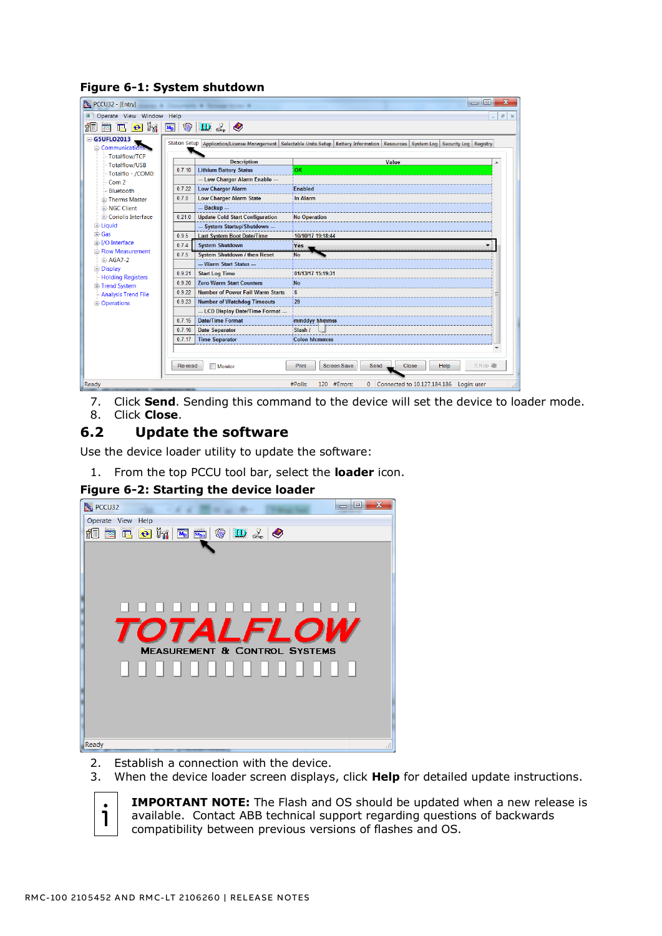| X<br>回<br><sup>t</sup> <sub>u</sub> PCCU32 - [Entry]<br>Status; A Concertainty & Security Service &         |  |         |                                                     |                                                                                                                                                                 |  |
|-------------------------------------------------------------------------------------------------------------|--|---------|-----------------------------------------------------|-----------------------------------------------------------------------------------------------------------------------------------------------------------------|--|
| Operate View Window Help<br>$E \times$<br>圖書                                                                |  |         |                                                     |                                                                                                                                                                 |  |
| $\Theta$ $\mathbb{F}$<br>◈<br>íO<br>$\mathbf{D} \mathcal{Z}$<br>$\boxed{\mathbf{M_B}}$<br><b>India</b><br>陘 |  |         |                                                     |                                                                                                                                                                 |  |
| $-$ G5UFLO2013<br><b>E</b> Communications<br>-Totalflow/TCP<br>Totalflow/USB                                |  | 0.7.10  | <b>Description</b><br><b>Lithium Battery Status</b> | Station Setup   Application/License Management   Selectable Units Setup   Battery Information   Resources   System Log   Security Log   Registry<br>Value<br>OK |  |
| Totalflo - /COM0:                                                                                           |  |         | --- Low Charger Alarm Enable ---                    |                                                                                                                                                                 |  |
| Com <sub>2</sub>                                                                                            |  | 0.7.22  | <b>Low Charger Alarm</b>                            | <b>Fnabled</b>                                                                                                                                                  |  |
| Bluetooth<br><b>E</b> -Therms Master                                                                        |  | 0.7.0   | <b>Low Charger Alarm State</b>                      | <b>In Alarm</b>                                                                                                                                                 |  |
| <b>E-NGC Client</b>                                                                                         |  |         | --- Backup ---                                      |                                                                                                                                                                 |  |
| <b>E</b> -Coriolis Interface                                                                                |  | 0.21.0  | <b>Update Cold Start Configuration</b>              | <b>No Operation</b>                                                                                                                                             |  |
| 由·Liquid                                                                                                    |  |         | --- System Startup/Shutdown ---                     |                                                                                                                                                                 |  |
| <b>i</b> Gas                                                                                                |  | 0.9.5   | <b>Last System Boot Date/Time</b>                   | 10/10/17 19:18:44                                                                                                                                               |  |
| 由 I/O Interface                                                                                             |  | 0.7.4   | <b>System Shutdown</b>                              | Yes                                                                                                                                                             |  |
| <b>E</b> ⊪Flow Measurement<br>中 AGA7-2                                                                      |  | 0.7.5   | <b>System Shutdown / then Reset</b>                 | <b>No</b>                                                                                                                                                       |  |
| 由·Display                                                                                                   |  |         | Warm Start Status                                   |                                                                                                                                                                 |  |
| -Holding Registers                                                                                          |  | 0.9.21  | <b>Start Log Time</b>                               | 01/13/17 15:19:31                                                                                                                                               |  |
| 由 Trend System                                                                                              |  | 0.9.20  | <b>Zero Warm Start Counters</b>                     | <b>No</b>                                                                                                                                                       |  |
| <b>Analysis Trend File</b>                                                                                  |  | 0.9.22  | <b>Number of Power Fail Warm Starts</b>             | 6                                                                                                                                                               |  |
| 由 Operations                                                                                                |  | 0.9.23  | <b>Number of Watchdog Timeouts</b>                  | 29                                                                                                                                                              |  |
|                                                                                                             |  |         | LCD Display Date/Time Format                        |                                                                                                                                                                 |  |
|                                                                                                             |  | 0.7.15  | <b>Date/Time Format</b>                             | mmddyy hhmmss                                                                                                                                                   |  |
|                                                                                                             |  | 0.7.16  | <b>Date Separator</b>                               | Slash /                                                                                                                                                         |  |
|                                                                                                             |  | 0.7.17  | <b>Time Separator</b>                               | <b>Colon hh:mm:ss</b>                                                                                                                                           |  |
|                                                                                                             |  |         |                                                     |                                                                                                                                                                 |  |
|                                                                                                             |  | Re-read | Monitor                                             | Print<br>Screen Save<br>XHelp <sup>2</sup><br>Send<br>Close<br>Help                                                                                             |  |
| 120 #Errors:<br>#Polls:<br>Connected to 10.127.184.186<br>Ready<br>$\Omega$<br>Login: user                  |  |         |                                                     |                                                                                                                                                                 |  |

**Figure 6-1: System shutdown**

7. Click **Send**. Sending this command to the device will set the device to loader mode. 8. Click **Close**.

## <span id="page-5-0"></span>**6.2 Update the software**

Use the device loader utility to update the software:

1. From the top PCCU tool bar, select the **loader** icon.

#### **Figure 6-2: Starting the device loader**



- 2. Establish a connection with the device.
- 3. When the device loader screen displays, click **Help** for detailed update instructions.



**IMPORTANT NOTE:** The Flash and OS should be updated when a new release is available. Contact ABB technical support regarding questions of backwards compatibility between previous versions of flashes and OS.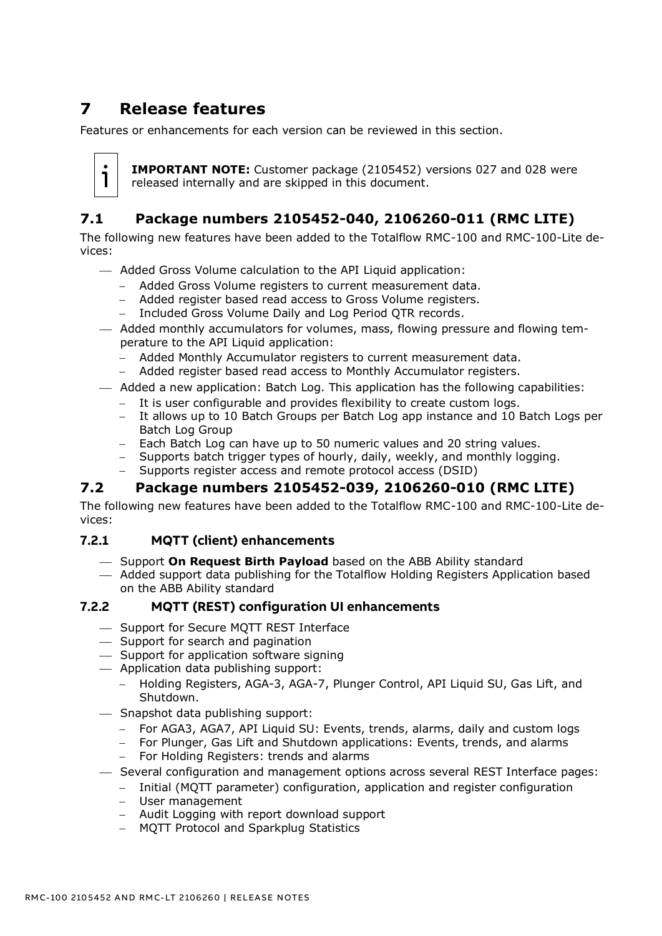# <span id="page-6-0"></span>**7 Release features**

Features or enhancements for each version can be reviewed in this section.



**IMPORTANT NOTE:** Customer package (2105452) versions 027 and 028 were released internally and are skipped in this document.

# <span id="page-6-1"></span>**7.1 Package numbers 2105452-040, 2106260-011 (RMC LITE)**

The following new features have been added to the Totalflow RMC-100 and RMC-100-Lite devices:

- $-$  Added Gross Volume calculation to the API Liquid application:
	- − Added Gross Volume registers to current measurement data.
	- − Added register based read access to Gross Volume registers.
	- − Included Gross Volume Daily and Log Period QTR records.
- ⎯ Added monthly accumulators for volumes, mass, flowing pressure and flowing temperature to the API Liquid application:
	- − Added Monthly Accumulator registers to current measurement data.
	- − Added register based read access to Monthly Accumulator registers.

#### ⎯ Added a new application: Batch Log. This application has the following capabilities:

- − It is user configurable and provides flexibility to create custom logs.
- − It allows up to 10 Batch Groups per Batch Log app instance and 10 Batch Logs per Batch Log Group
- − Each Batch Log can have up to 50 numeric values and 20 string values.
- − Supports batch trigger types of hourly, daily, weekly, and monthly logging.
- Supports register access and remote protocol access (DSID)

## <span id="page-6-2"></span>**7.2 Package numbers 2105452-039, 2106260-010 (RMC LITE)**

The following new features have been added to the Totalflow RMC-100 and RMC-100-Lite devices:

#### **7.2.1 MQTT (client) enhancements**

- ⎯ Support **On Request Birth Payload** based on the ABB Ability standard
- ⎯ Added support data publishing for the Totalflow Holding Registers Application based on the ABB Ability standard

#### **7.2.2 MQTT (REST) configuration UI enhancements**

- ⎯ Support for Secure MQTT REST Interface
- ⎯ Support for search and pagination
- $-$  Support for application software signing
- $-$  Application data publishing support:
	- − Holding Registers, AGA-3, AGA-7, Plunger Control, API Liquid SU, Gas Lift, and Shutdown.
- $-$  Snapshot data publishing support:
	- − For AGA3, AGA7, API Liquid SU: Events, trends, alarms, daily and custom logs
	- For Plunger, Gas Lift and Shutdown applications: Events, trends, and alarms
	- − For Holding Registers: trends and alarms
- ⎯ Several configuration and management options across several REST Interface pages:
	- − Initial (MQTT parameter) configuration, application and register configuration
	- − User management
	- − Audit Logging with report download support
	- − MQTT Protocol and Sparkplug Statistics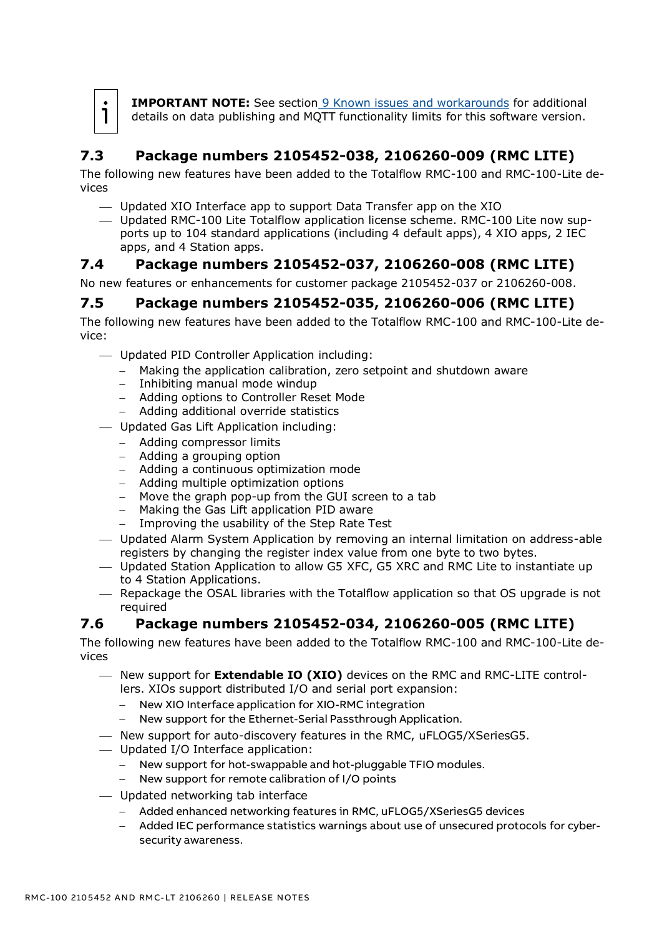

**IMPORTANT NOTE:** See section [9](#page-17-2) [Known issues and workarounds](#page-17-2) for additional details on data publishing and MQTT functionality limits for this software version.

# <span id="page-7-0"></span>**7.3 Package numbers 2105452-038, 2106260-009 (RMC LITE)**

The following new features have been added to the Totalflow RMC-100 and RMC-100-Lite devices

- ⎯ Updated XIO Interface app to support Data Transfer app on the XIO
- ⎯ Updated RMC-100 Lite Totalflow application license scheme. RMC-100 Lite now supports up to 104 standard applications (including 4 default apps), 4 XIO apps, 2 IEC apps, and 4 Station apps.

# <span id="page-7-1"></span>**7.4 Package numbers 2105452-037, 2106260-008 (RMC LITE)**

No new features or enhancements for customer package 2105452-037 or 2106260-008.

# <span id="page-7-2"></span>**7.5 Package numbers 2105452-035, 2106260-006 (RMC LITE)**

The following new features have been added to the Totalflow RMC-100 and RMC-100-Lite device:

- ⎯ Updated PID Controller Application including:
	- − Making the application calibration, zero setpoint and shutdown aware
	- − Inhibiting manual mode windup
	- − Adding options to Controller Reset Mode
	- − Adding additional override statistics
- ⎯ Updated Gas Lift Application including:
	- − Adding compressor limits
	- − Adding a grouping option
	- − Adding a continuous optimization mode
	- − Adding multiple optimization options
	- − Move the graph pop-up from the GUI screen to a tab
	- − Making the Gas Lift application PID aware
	- − Improving the usability of the Step Rate Test
- ⎯ Updated Alarm System Application by removing an internal limitation on address-able registers by changing the register index value from one byte to two bytes.
- ⎯ Updated Station Application to allow G5 XFC, G5 XRC and RMC Lite to instantiate up to 4 Station Applications.
- $-$  Repackage the OSAL libraries with the Totalflow application so that OS upgrade is not required

# <span id="page-7-3"></span>**7.6 Package numbers 2105452-034, 2106260-005 (RMC LITE)**

The following new features have been added to the Totalflow RMC-100 and RMC-100-Lite devices

- ⎯ New support for **Extendable IO (XIO)** devices on the RMC and RMC-LITE controllers. XIOs support distributed I/O and serial port expansion:
	- New XIO Interface application for XIO-RMC integration
	- − New support for the Ethernet-Serial Passthrough Application.
- ⎯ New support for auto-discovery features in the RMC, uFLOG5/XSeriesG5.
- ⎯ Updated I/O Interface application:
	- − New support for hot-swappable and hot-pluggable TFIO modules.
	- − New support for remote calibration of I/O points
- ⎯ Updated networking tab interface
	- − Added enhanced networking features in RMC, uFLOG5/XSeriesG5 devices
	- − Added IEC performance statistics warnings about use of unsecured protocols for cybersecurity awareness.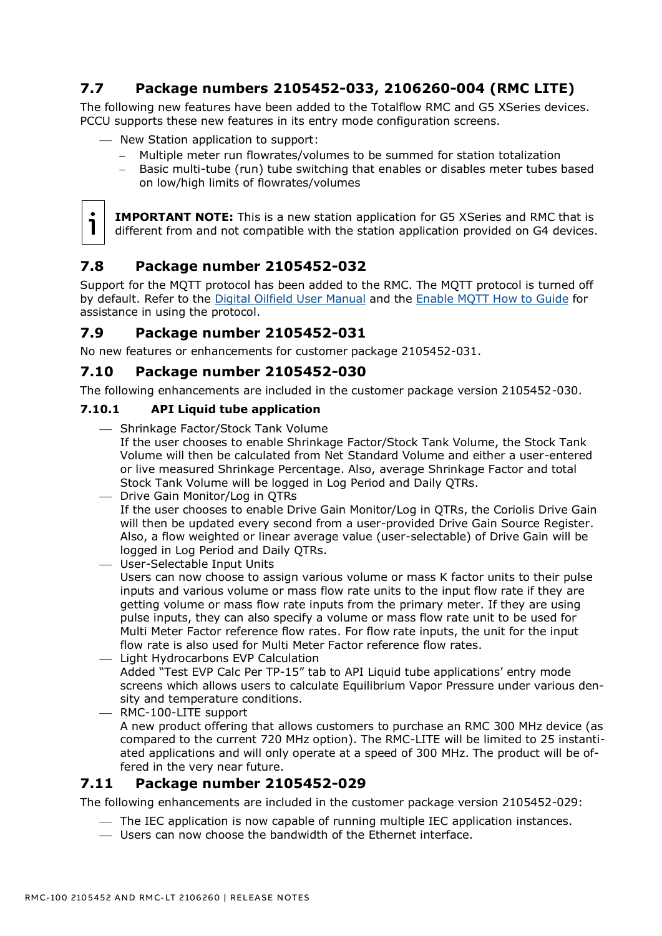# <span id="page-8-0"></span>**7.7 Package numbers 2105452-033, 2106260-004 (RMC LITE)**

The following new features have been added to the Totalflow RMC and G5 XSeries devices. PCCU supports these new features in its entry mode configuration screens.

- New Station application to support:
	- − Multiple meter run flowrates/volumes to be summed for station totalization
	- − Basic multi-tube (run) tube switching that enables or disables meter tubes based on low/high limits of flowrates/volumes



**IMPORTANT NOTE:** This is a new station application for G5 XSeries and RMC that is different from and not compatible with the station application provided on G4 devices.

# <span id="page-8-1"></span>**7.8 Package number 2105452-032**

Support for the MQTT protocol has been added to the RMC. The MQTT protocol is turned off by default. Refer to the [Digital Oilfield User Manual](https://search.abb.com/library/Download.aspx?DocumentID=ML%2F2106300&LanguageCode=en&DocumentPartId=2106300&Action=Launch) and the [Enable MQTT How to](https://search.abb.com/library/Download.aspx?DocumentID=ML%2F2106521&LanguageCode=en&DocumentPartId=2106521&Action=Launch) Guide for assistance in using the protocol.

#### <span id="page-8-2"></span>**7.9 Package number 2105452-031**

No new features or enhancements for customer package 2105452-031.

#### <span id="page-8-3"></span>**7.10 Package number 2105452-030**

The following enhancements are included in the customer package version 2105452-030.

#### **7.10.1 API Liquid tube application**

- Shrinkage Factor/Stock Tank Volume
	- If the user chooses to enable Shrinkage Factor/Stock Tank Volume, the Stock Tank Volume will then be calculated from Net Standard Volume and either a user-entered or live measured Shrinkage Percentage. Also, average Shrinkage Factor and total Stock Tank Volume will be logged in Log Period and Daily QTRs.
- ⎯ Drive Gain Monitor/Log in QTRs If the user chooses to enable Drive Gain Monitor/Log in QTRs, the Coriolis Drive Gain will then be updated every second from a user-provided Drive Gain Source Register. Also, a flow weighted or linear average value (user-selectable) of Drive Gain will be logged in Log Period and Daily QTRs.
- ⎯ User-Selectable Input Units Users can now choose to assign various volume or mass K factor units to their pulse inputs and various volume or mass flow rate units to the input flow rate if they are getting volume or mass flow rate inputs from the primary meter. If they are using pulse inputs, they can also specify a volume or mass flow rate unit to be used for Multi Meter Factor reference flow rates. For flow rate inputs, the unit for the input flow rate is also used for Multi Meter Factor reference flow rates.
- $-$  Light Hydrocarbons EVP Calculation Added "Test EVP Calc Per TP-15" tab to API Liquid tube applications' entry mode screens which allows users to calculate Equilibrium Vapor Pressure under various density and temperature conditions.
- ⎯ RMC-100-LITE support A new product offering that allows customers to purchase an RMC 300 MHz device (as compared to the current 720 MHz option). The RMC-LITE will be limited to 25 instantiated applications and will only operate at a speed of 300 MHz. The product will be offered in the very near future.

## <span id="page-8-4"></span>**7.11 Package number 2105452-029**

The following enhancements are included in the customer package version 2105452-029:

- ⎯ The IEC application is now capable of running multiple IEC application instances.
- ⎯ Users can now choose the bandwidth of the Ethernet interface.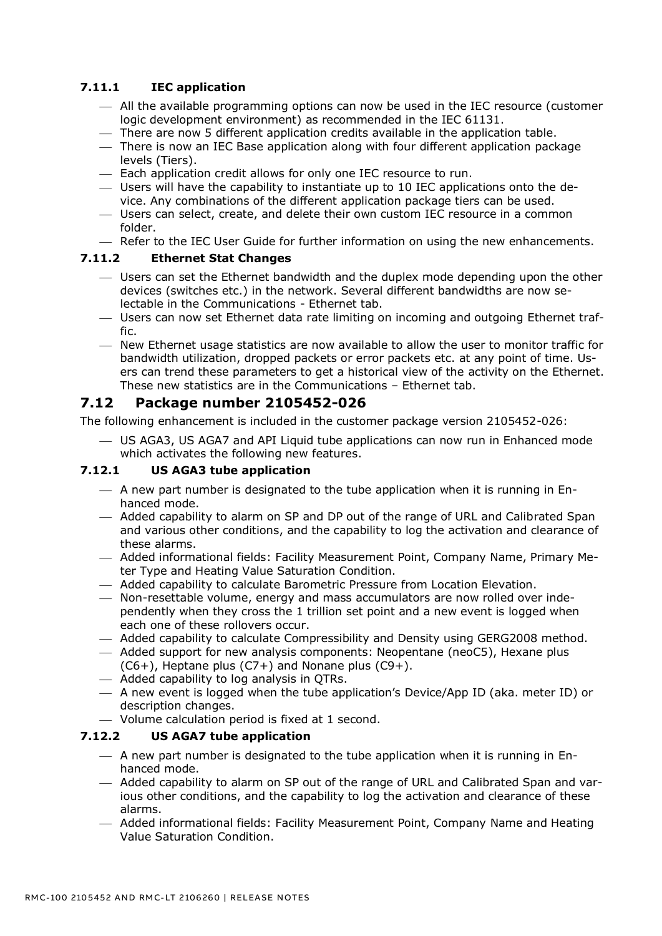#### **7.11.1 IEC application**

- $-$  All the available programming options can now be used in the IEC resource (customer logic development environment) as recommended in the IEC 61131.
- ⎯ There are now 5 different application credits available in the application table.
- ⎯ There is now an IEC Base application along with four different application package levels (Tiers).
- $-$  Each application credit allows for only one IEC resource to run.
- $-$  Users will have the capability to instantiate up to 10 IEC applications onto the device. Any combinations of the different application package tiers can be used.
- ⎯ Users can select, create, and delete their own custom IEC resource in a common folder.
- Refer to the IEC User Guide for further information on using the new enhancements.

#### **7.11.2 Ethernet Stat Changes**

- ⎯ Users can set the Ethernet bandwidth and the duplex mode depending upon the other devices (switches etc.) in the network. Several different bandwidths are now selectable in the Communications - Ethernet tab.
- ⎯ Users can now set Ethernet data rate limiting on incoming and outgoing Ethernet traffic.
- ⎯ New Ethernet usage statistics are now available to allow the user to monitor traffic for bandwidth utilization, dropped packets or error packets etc. at any point of time. Users can trend these parameters to get a historical view of the activity on the Ethernet. These new statistics are in the Communications – Ethernet tab.

#### <span id="page-9-0"></span>**7.12 Package number 2105452-026**

The following enhancement is included in the customer package version 2105452-026:

⎯ US AGA3, US AGA7 and API Liquid tube applications can now run in Enhanced mode which activates the following new features.

#### **7.12.1 US AGA3 tube application**

- $-$  A new part number is designated to the tube application when it is running in Enhanced mode.
- ⎯ Added capability to alarm on SP and DP out of the range of URL and Calibrated Span and various other conditions, and the capability to log the activation and clearance of these alarms.
- ⎯ Added informational fields: Facility Measurement Point, Company Name, Primary Meter Type and Heating Value Saturation Condition.
- ⎯ Added capability to calculate Barometric Pressure from Location Elevation.
- Non-resettable volume, energy and mass accumulators are now rolled over independently when they cross the 1 trillion set point and a new event is logged when each one of these rollovers occur.
- ⎯ Added capability to calculate Compressibility and Density using GERG2008 method.
- ⎯ Added support for new analysis components: Neopentane (neoC5), Hexane plus  $(C6+)$ , Heptane plus  $(C7+)$  and Nonane plus  $(C9+)$ .
- ⎯ Added capability to log analysis in QTRs.
- ⎯ A new event is logged when the tube application's Device/App ID (aka. meter ID) or description changes.
- $-$  Volume calculation period is fixed at 1 second.

#### **7.12.2 US AGA7 tube application**

- $-$  A new part number is designated to the tube application when it is running in Enhanced mode.
- ⎯ Added capability to alarm on SP out of the range of URL and Calibrated Span and various other conditions, and the capability to log the activation and clearance of these alarms.
- ⎯ Added informational fields: Facility Measurement Point, Company Name and Heating Value Saturation Condition.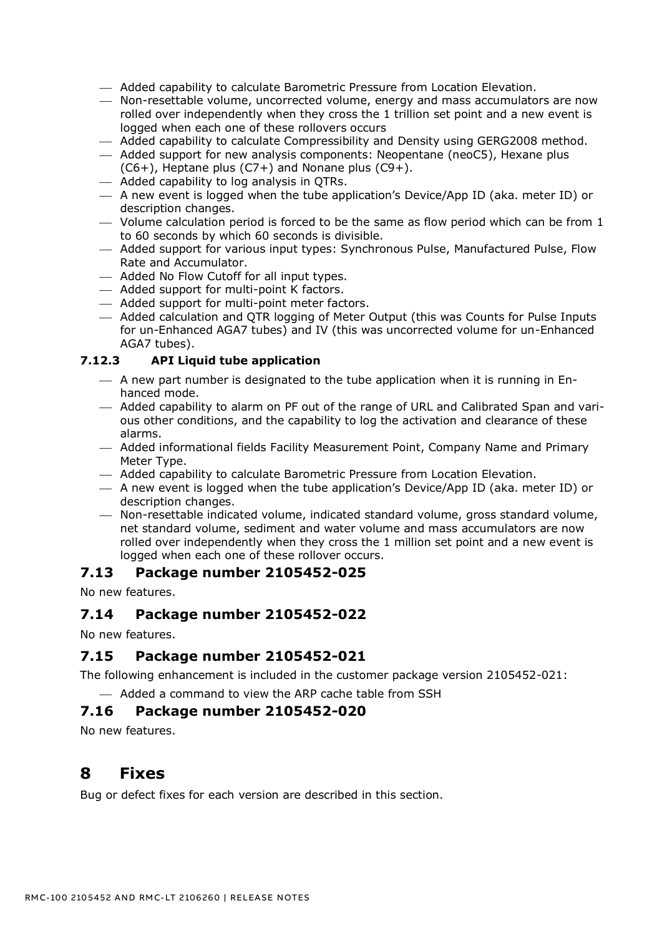- ⎯ Added capability to calculate Barometric Pressure from Location Elevation.
- ⎯ Non-resettable volume, uncorrected volume, energy and mass accumulators are now rolled over independently when they cross the 1 trillion set point and a new event is logged when each one of these rollovers occurs
- ⎯ Added capability to calculate Compressibility and Density using GERG2008 method.
- ⎯ Added support for new analysis components: Neopentane (neoC5), Hexane plus  $(C6+)$ , Heptane plus  $(C7+)$  and Nonane plus  $(C9+)$ .
- $-$  Added capability to log analysis in QTRs.
- $-$  A new event is logged when the tube application's Device/App ID (aka. meter ID) or description changes.
- $-$  Volume calculation period is forced to be the same as flow period which can be from 1 to 60 seconds by which 60 seconds is divisible.
- ⎯ Added support for various input types: Synchronous Pulse, Manufactured Pulse, Flow Rate and Accumulator.
- ⎯ Added No Flow Cutoff for all input types.
- ⎯ Added support for multi-point K factors.
- ⎯ Added support for multi-point meter factors.
- ⎯ Added calculation and QTR logging of Meter Output (this was Counts for Pulse Inputs for un-Enhanced AGA7 tubes) and IV (this was uncorrected volume for un-Enhanced AGA7 tubes).

#### **7.12.3 API Liquid tube application**

- $-$  A new part number is designated to the tube application when it is running in Enhanced mode.
- $-$  Added capability to alarm on PF out of the range of URL and Calibrated Span and various other conditions, and the capability to log the activation and clearance of these alarms.
- $-$  Added informational fields Facility Measurement Point, Company Name and Primary Meter Type.
- ⎯ Added capability to calculate Barometric Pressure from Location Elevation.
- $-$  A new event is logged when the tube application's Device/App ID (aka. meter ID) or description changes.
- ⎯ Non-resettable indicated volume, indicated standard volume, gross standard volume, net standard volume, sediment and water volume and mass accumulators are now rolled over independently when they cross the 1 million set point and a new event is logged when each one of these rollover occurs.

#### <span id="page-10-0"></span>**7.13 Package number 2105452-025**

No new features.

#### <span id="page-10-1"></span>**7.14 Package number 2105452-022**

No new features.

## <span id="page-10-2"></span>**7.15 Package number 2105452-021**

The following enhancement is included in the customer package version 2105452-021:

 $-$  Added a command to view the ARP cache table from SSH

#### <span id="page-10-3"></span>**7.16 Package number 2105452-020**

No new features.

# <span id="page-10-4"></span>**8 Fixes**

Bug or defect fixes for each version are described in this section.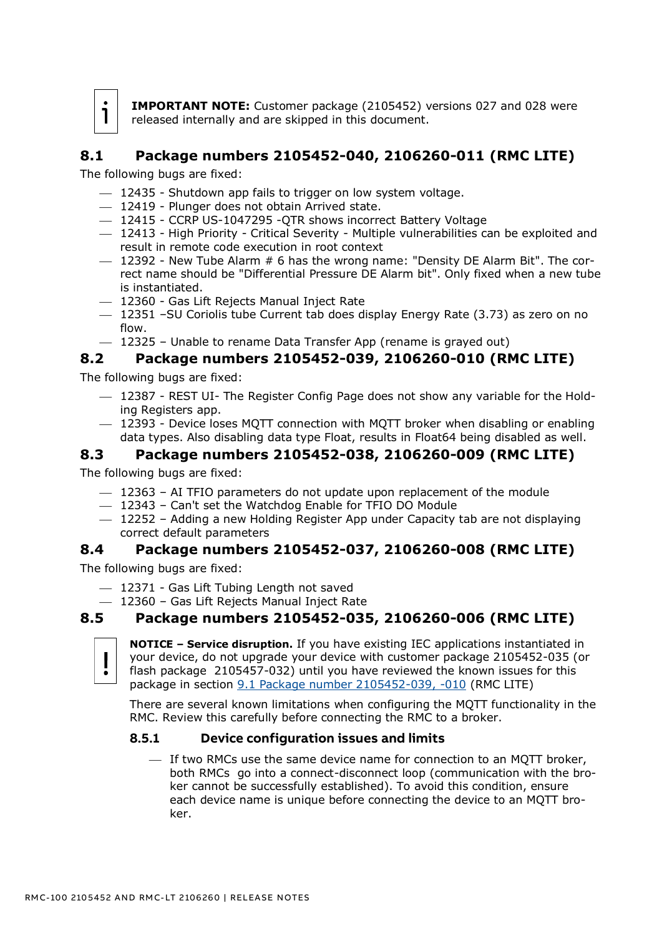

**IMPORTANT NOTE:** Customer package (2105452) versions 027 and 028 were released internally and are skipped in this document.

# <span id="page-11-0"></span>**8.1 Package numbers 2105452-040, 2106260-011 (RMC LITE)**

The following bugs are fixed:

- $-$  12435 Shutdown app fails to trigger on low system voltage.
- 12419 Plunger does not obtain Arrived state.
- 12415 CCRP US-1047295 -QTR shows incorrect Battery Voltage
- ⎯ 12413 High Priority Critical Severity Multiple vulnerabilities can be exploited and result in remote code execution in root context
- $-$  12392 New Tube Alarm  $# 6$  has the wrong name: "Density DE Alarm Bit". The correct name should be "Differential Pressure DE Alarm bit". Only fixed when a new tube is instantiated.
- ⎯ 12360 Gas Lift Rejects Manual Inject Rate
- $-$  12351 –SU Coriolis tube Current tab does display Energy Rate (3.73) as zero on no flow.
- $-$  12325 Unable to rename Data Transfer App (rename is grayed out)

## <span id="page-11-1"></span>**8.2 Package numbers 2105452-039, 2106260-010 (RMC LITE)**

The following bugs are fixed:

- $-$  12387 REST UI- The Register Config Page does not show any variable for the Holding Registers app.
- ⎯ 12393 Device loses MQTT connection with MQTT broker when disabling or enabling data types. Also disabling data type Float, results in Float64 being disabled as well.

#### <span id="page-11-2"></span>**8.3 Package numbers 2105452-038, 2106260-009 (RMC LITE)**

The following bugs are fixed:

- $-$  12363 AI TFIO parameters do not update upon replacement of the module
- ⎯ 12343 Can't set the Watchdog Enable for TFIO DO Module
- ⎯ 12252 Adding a new Holding Register App under Capacity tab are not displaying correct default parameters

#### <span id="page-11-3"></span>**8.4 Package numbers 2105452-037, 2106260-008 (RMC LITE)**

The following bugs are fixed:

- ⎯ 12371 Gas Lift Tubing Length not saved
- 12360 Gas Lift Rejects Manual Inject Rate

## <span id="page-11-4"></span>**8.5 Package numbers 2105452-035, 2106260-006 (RMC LITE)**



**NOTICE – Service disruption.** If you have existing IEC applications instantiated in your device, do not upgrade your device with customer package 2105452-035 (or flash package 2105457-032) until you have reviewed the known issues for this package in section [9.1](#page-17-3) [Package number 2105452-039, -010](#page-17-3) (RMC LITE)

[There are several known limitations when configuring the MQTT functionality in the](#page-17-3)  RMC. [Review this carefully before connecting the RMC to a broker.](#page-17-3) 

#### **8.5.1 [Device configuration issues and limits](#page-17-3)**

 $-$  If two RMCs use the same device name for connection to an MQTT broker, [both RMCs go into a connect-disconnect loop \(communication with the bro](#page-17-3)ker cannot [be successfully established\). To avoid this condition, ensure](#page-17-3)  [each device name is unique before connecting the device to an MQTT bro](#page-17-3)[ker.](#page-17-3)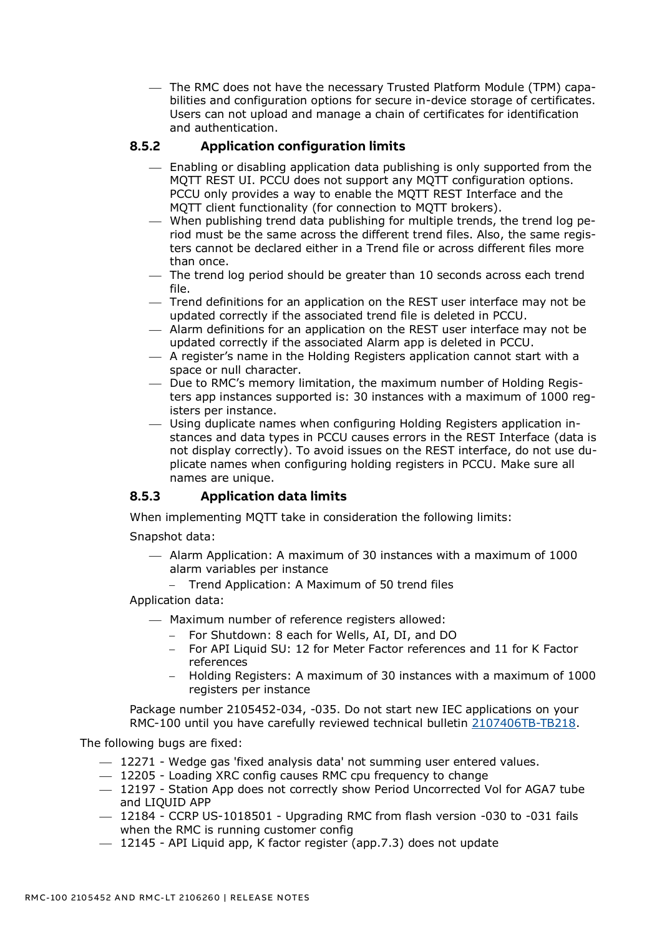⎯ [The RMC does not have the necessary Trusted Platform Module \(TPM\) capa](#page-17-3)[bilities and configuration options for secure in-device storage of certificates.](#page-17-3)  [Users can not upload and manage a chain of certificates for identification](#page-17-3)  [and authentication.](#page-17-3) 

#### **8.5.2 [Application configuration limits](#page-17-3)**

- ⎯ [Enabling or disabling application data publishing is only supported from the](#page-17-3)  MQTT REST UI. [PCCU does not support any MQTT configuration options.](#page-17-3)  [PCCU only provides a way to enable the MQTT REST Interface and the](#page-17-3)  [MQTT client functionality \(for connection to MQTT brokers\).](#page-17-3)
- $-$  [When publishing trend data publishing for multiple trends, the trend log pe](#page-17-3)[riod must be the same across the different trend files. Also, the same regis](#page-17-3)[ters cannot be declared either in a Trend file or across different files more](#page-17-3)  [than once.](#page-17-3)
- The trend log period should be greater than 10 seconds across each trend [file.](#page-17-3)
- ⎯ [Trend definitions for an application on the REST user interface may not be](#page-17-3)  [updated correctly if the associated trend file is deleted in PCCU.](#page-17-3)
- ⎯ [Alarm definitions for an application on the REST user interface may not be](#page-17-3)  [updated correctly if the associated Alarm app is deleted in PCCU.](#page-17-3)
- $-$  A register's name in the Holding Registers application cannot start with a [space or null character.](#page-17-3)
- ⎯ [Due to RMC's memory limitation, the maximum number of Holding Regis](#page-17-3)[ters app instances supported is: 30 instances with a maximum](#page-17-3) of 1000 reg[isters per instance.](#page-17-3)
- ⎯ [Using duplicate names when configuring Holding Registers](#page-17-3) application in[stances and data types in PCCU causes errors in the REST Interface](#page-17-3) (data is [not display correctly\). To avoid issues on the REST interface, do not use du](#page-17-3)[plicate names when configuring holding registers in PCCU. Make sure all](#page-17-3)  [names are unique.](#page-17-3)

#### **8.5.3 [Application data limits](#page-17-3)**

[When implementing MQTT take in consideration the following limits:](#page-17-3)

[Snapshot data:](#page-17-3)

- $-$  Alarm Application: A maximum of 30 instances with a maximum of 1000 [alarm variables per instance](#page-17-3)
	- − [Trend Application: A Maximum of 50 trend files](#page-17-3)

[Application data:](#page-17-3)

- ⎯ [Maximum number of reference](#page-17-3) registers allowed:
	- − [For Shutdown: 8 each for Wells, AI, DI,](#page-17-3) and DO
	- − [For API Liquid SU: 12 for Meter Factor references and 11 for](#page-17-3) K Factor [references](#page-17-3)
	- − [Holding Registers: A maximum of 30 instances with a maximum of 1000](#page-17-3)  [registers per instance](#page-17-3)

[Package number 2105452-034, -035.](#page-17-3) Do not start new IEC applications on your RMC-100 until you have carefully reviewed technical bulletin [2107406TB-TB218.](https://search.abb.com/library/Download.aspx?DocumentID=TekBul%20218&LanguageCode=en&DocumentPartId=2107406TB-TB218&Action=Launch)

- $-$  12271 Wedge gas 'fixed analysis data' not summing user entered values.
- $-$  12205 Loading XRC config causes RMC cpu frequency to change
- ⎯ 12197 Station App does not correctly show Period Uncorrected Vol for AGA7 tube and LIQUID APP
- $-$  12184 CCRP US-1018501 Upgrading RMC from flash version -030 to -031 fails when the RMC is running customer config
- $-$  12145 API Liquid app, K factor register (app.7.3) does not update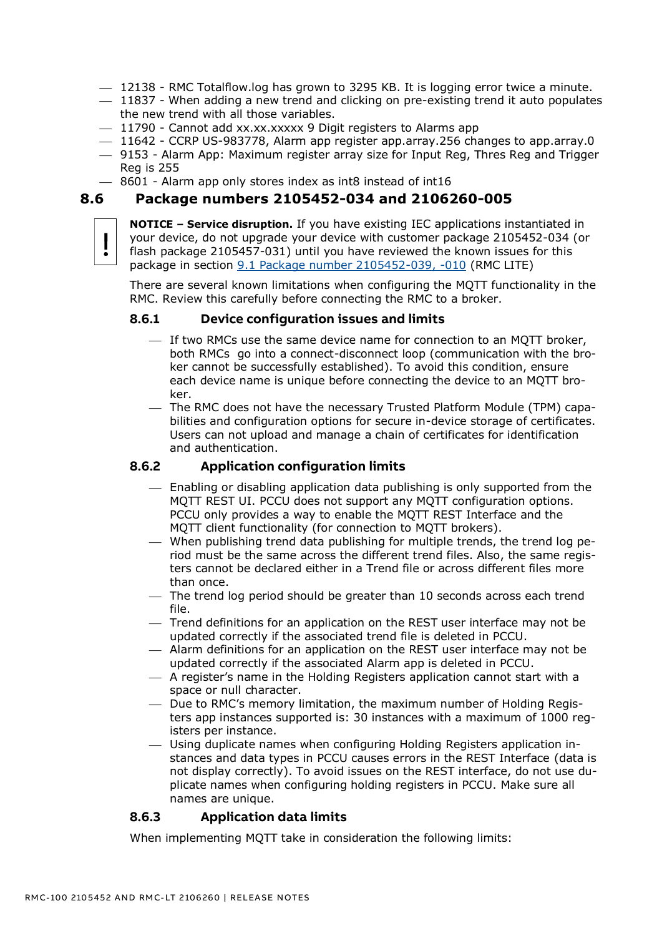- $-$  12138 RMC Totalflow.log has grown to 3295 KB. It is logging error twice a minute.
- $-$  11837 When adding a new trend and clicking on pre-existing trend it auto populates the new trend with all those variables.
- $-$  11790 Cannot add xx.xx.xxxxx 9 Digit registers to Alarms app
- $-$  11642 CCRP US-983778, Alarm app register app.array.256 changes to app.array.0
- ⎯ 9153 Alarm App: Maximum register array size for Input Reg, Thres Reg and Trigger Reg is 255
- $-$  8601 Alarm app only stores index as int8 instead of int16

#### <span id="page-13-0"></span>**8.6 Package numbers 2105452-034 and 2106260-005**

**NOTICE – Service disruption.** If you have existing IEC applications instantiated in your device, do not upgrade your device with customer package 2105452-034 (or flash package 2105457-031) until you have reviewed the known issues for this package in section [9.1](#page-17-3) [Package number 2105452-039, -010](#page-17-3) (RMC LITE)

[There are several known limitations when configuring the MQTT functionality in the](#page-17-3)  RMC. [Review this carefully before connecting the RMC to a broker.](#page-17-3) 

#### **8.6.1 [Device configuration issues and limits](#page-17-3)**

- ⎯ [If two RMCs use the same device name for connection to an MQTT broker,](#page-17-3)  [both RMCs go into a connect-disconnect loop \(communication with the bro](#page-17-3)ker cannot [be successfully established\). To avoid this condition, ensure](#page-17-3)  [each device name is unique before connecting the device to an MQTT bro](#page-17-3)[ker.](#page-17-3)
- ⎯ [The RMC does not have the necessary Trusted Platform Module \(TPM\) capa](#page-17-3)[bilities and configuration options for secure in-device storage of certificates.](#page-17-3)  [Users can not upload and manage a chain of certificates for identification](#page-17-3)  [and authentication.](#page-17-3)

#### **8.6.2 [Application configuration limits](#page-17-3)**

- $-$  Enabling or disabling application data publishing is only supported from the MQTT REST UI. [PCCU does not support any MQTT configuration options.](#page-17-3)  [PCCU only provides a way to enable the MQTT REST Interface and the](#page-17-3)  [MQTT client functionality \(for connection to MQTT brokers\).](#page-17-3)
- $-$  [When publishing trend data publishing for multiple trends, the trend log pe](#page-17-3)[riod must be the same across the different trend files. Also, the same regis](#page-17-3)[ters cannot be declared either in a Trend file or across different files more](#page-17-3)  [than once.](#page-17-3)
- $-$  The trend log period should be greater than 10 seconds across each trend [file.](#page-17-3)
- ⎯ [Trend definitions for an application on the REST user interface may not be](#page-17-3)  [updated correctly if the associated trend file is deleted in PCCU.](#page-17-3)
- $-$  Alarm definitions for an application on the REST user interface may not be [updated correctly if the associated Alarm app is deleted in PCCU.](#page-17-3)
- $-$  A register's name in the Holding Registers application cannot start with a [space or null character.](#page-17-3)
- $-$  [Due to RMC's memory limitation, the maximum number of Holding Regis](#page-17-3)[ters app instances supported is: 30 instances with a maximum](#page-17-3) of 1000 reg[isters per instance.](#page-17-3)
- ⎯ [Using duplicate names when configuring Holding Registers](#page-17-3) application in[stances and data types in PCCU causes errors in the REST Interface](#page-17-3) (data is [not display correctly\). To avoid issues on the REST interface, do not use du](#page-17-3)[plicate names when configuring holding registers in PCCU. Make sure all](#page-17-3)  [names are unique.](#page-17-3)

#### **8.6.3 [Application data limits](#page-17-3)**

[When implementing MQTT take in consideration the following limits:](#page-17-3)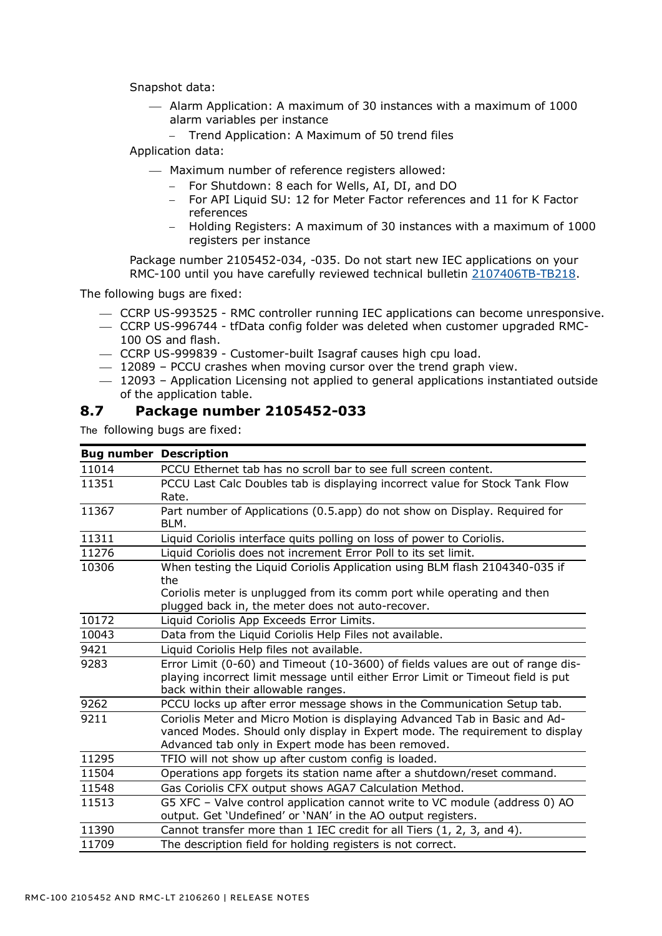[Snapshot data:](#page-17-3)

- ⎯ [Alarm Application: A maximum of 30 instances with a maximum of 1000](#page-17-3)  [alarm variables per instance](#page-17-3)
	- − [Trend Application: A Maximum of 50 trend files](#page-17-3)

[Application data:](#page-17-3)

- $-$  [Maximum number of reference](#page-17-3) registers allowed:
	- − [For Shutdown: 8 each for Wells, AI, DI,](#page-17-3) and DO
	- − [For API Liquid SU: 12 for Meter Factor references and 11 for](#page-17-3) K Factor [references](#page-17-3)
	- − [Holding Registers: A maximum of 30 instances with a maximum of 1000](#page-17-3)  [registers per instance](#page-17-3)

[Package number 2105452-034, -035.](#page-17-3) Do not start new IEC applications on your RMC-100 until you have carefully reviewed technical bulletin [2107406TB-TB218.](https://search.abb.com/library/Download.aspx?DocumentID=TekBul%20218&LanguageCode=en&DocumentPartId=2107406TB-TB218&Action=Launch)

The following bugs are fixed:

- ⎯ CCRP US-993525 RMC controller running IEC applications can become unresponsive.
- ⎯ CCRP US-996744 tfData config folder was deleted when customer upgraded RMC-100 OS and flash.
- ⎯ CCRP US-999839 Customer-built Isagraf causes high cpu load.
- $-$  12089 PCCU crashes when moving cursor over the trend graph view.
- $-$  12093 Application Licensing not applied to general applications instantiated outside of the application table.

#### <span id="page-14-0"></span>**8.7 Package number 2105452-033**

| <b>Bug number Description</b> |                                                                                                                                                                                                                   |  |  |
|-------------------------------|-------------------------------------------------------------------------------------------------------------------------------------------------------------------------------------------------------------------|--|--|
| 11014                         | PCCU Ethernet tab has no scroll bar to see full screen content.                                                                                                                                                   |  |  |
| 11351                         | PCCU Last Calc Doubles tab is displaying incorrect value for Stock Tank Flow<br>Rate.                                                                                                                             |  |  |
| 11367                         | Part number of Applications (0.5.app) do not show on Display. Required for<br>BLM.                                                                                                                                |  |  |
| 11311                         | Liquid Coriolis interface quits polling on loss of power to Coriolis.                                                                                                                                             |  |  |
| 11276                         | Liquid Coriolis does not increment Error Poll to its set limit.                                                                                                                                                   |  |  |
| 10306                         | When testing the Liquid Coriolis Application using BLM flash 2104340-035 if<br>the                                                                                                                                |  |  |
|                               | Coriolis meter is unplugged from its comm port while operating and then<br>plugged back in, the meter does not auto-recover.                                                                                      |  |  |
| 10172                         | Liquid Coriolis App Exceeds Error Limits.                                                                                                                                                                         |  |  |
| 10043                         | Data from the Liquid Coriolis Help Files not available.                                                                                                                                                           |  |  |
| 9421                          | Liquid Coriolis Help files not available.                                                                                                                                                                         |  |  |
| 9283                          | Error Limit (0-60) and Timeout (10-3600) of fields values are out of range dis-<br>playing incorrect limit message until either Error Limit or Timeout field is put<br>back within their allowable ranges.        |  |  |
| 9262                          | PCCU locks up after error message shows in the Communication Setup tab.                                                                                                                                           |  |  |
| 9211                          | Coriolis Meter and Micro Motion is displaying Advanced Tab in Basic and Ad-<br>vanced Modes. Should only display in Expert mode. The requirement to display<br>Advanced tab only in Expert mode has been removed. |  |  |
| 11295                         | TFIO will not show up after custom config is loaded.                                                                                                                                                              |  |  |
| 11504                         | Operations app forgets its station name after a shutdown/reset command.                                                                                                                                           |  |  |
| 11548                         | Gas Coriolis CFX output shows AGA7 Calculation Method.                                                                                                                                                            |  |  |
| 11513                         | G5 XFC - Valve control application cannot write to VC module (address 0) AO<br>output. Get 'Undefined' or 'NAN' in the AO output registers.                                                                       |  |  |
| 11390                         | Cannot transfer more than 1 IEC credit for all Tiers (1, 2, 3, and 4).                                                                                                                                            |  |  |
| 11709                         | The description field for holding registers is not correct.                                                                                                                                                       |  |  |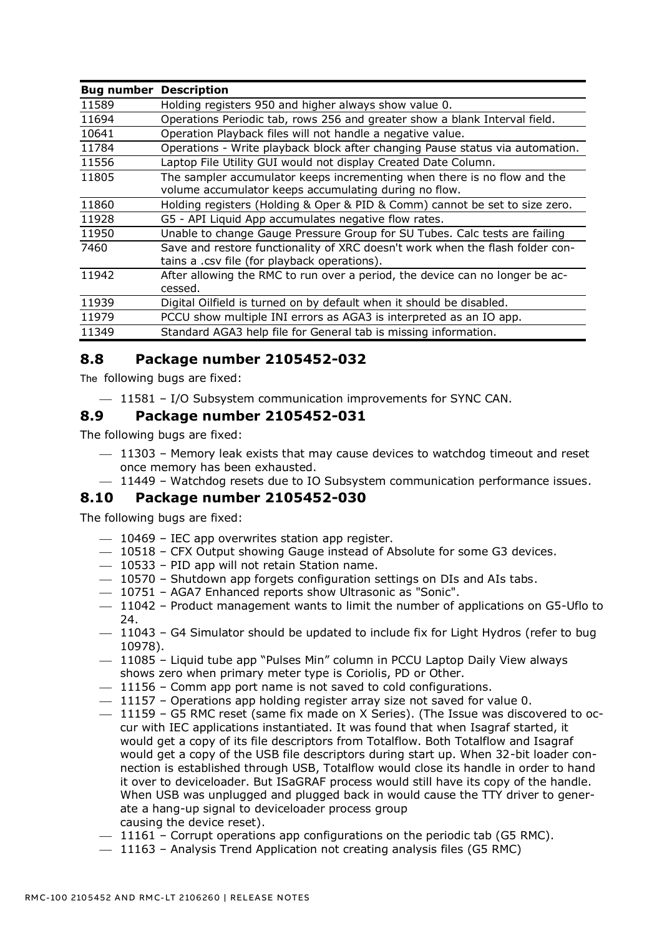| <b>Bug number</b> | <b>Description</b>                                                                                                                |  |  |
|-------------------|-----------------------------------------------------------------------------------------------------------------------------------|--|--|
| 11589             | Holding registers 950 and higher always show value 0.                                                                             |  |  |
| 11694             | Operations Periodic tab, rows 256 and greater show a blank Interval field.                                                        |  |  |
| 10641             | Operation Playback files will not handle a negative value.                                                                        |  |  |
| 11784             | Operations - Write playback block after changing Pause status via automation.                                                     |  |  |
| 11556             | Laptop File Utility GUI would not display Created Date Column.                                                                    |  |  |
| 11805             | The sampler accumulator keeps incrementing when there is no flow and the<br>volume accumulator keeps accumulating during no flow. |  |  |
| 11860             | Holding registers (Holding & Oper & PID & Comm) cannot be set to size zero.                                                       |  |  |
| 11928             | G5 - API Liquid App accumulates negative flow rates.                                                                              |  |  |
| 11950             | Unable to change Gauge Pressure Group for SU Tubes. Calc tests are failing                                                        |  |  |
| 7460              | Save and restore functionality of XRC doesn't work when the flash folder con-<br>tains a .csv file (for playback operations).     |  |  |
| 11942             | After allowing the RMC to run over a period, the device can no longer be ac-<br>cessed.                                           |  |  |
| 11939             | Digital Oilfield is turned on by default when it should be disabled.                                                              |  |  |
| 11979             | PCCU show multiple INI errors as AGA3 is interpreted as an IO app.                                                                |  |  |
| 11349             | Standard AGA3 help file for General tab is missing information.                                                                   |  |  |

## <span id="page-15-0"></span>**8.8 Package number 2105452-032**

The following bugs are fixed:

 $-$  11581 – I/O Subsystem communication improvements for SYNC CAN.

#### <span id="page-15-1"></span>**8.9 Package number 2105452-031**

The following bugs are fixed:

- $-$  11303 Memory leak exists that may cause devices to watchdog timeout and reset once memory has been exhausted.
- $-$  11449 Watchdog resets due to IO Subsystem communication performance issues.

#### <span id="page-15-2"></span>**8.10 Package number 2105452-030**

- $-$  10469 IEC app overwrites station app register.
- 10518 CFX Output showing Gauge instead of Absolute for some G3 devices.
- $-$  10533 PID app will not retain Station name.
- $-$  10570 Shutdown app forgets configuration settings on DIs and AIs tabs.
- ⎯ 10751 AGA7 Enhanced reports show Ultrasonic as "Sonic".
- $-$  11042 Product management wants to limit the number of applications on G5-Uflo to 24.
- $-$  11043 G4 Simulator should be updated to include fix for Light Hydros (refer to bug 10978).
- $-$  11085 Liquid tube app "Pulses Min" column in PCCU Laptop Daily View always shows zero when primary meter type is Coriolis, PD or Other.
- $-11156$  Comm app port name is not saved to cold configurations.
- $-$  11157 Operations app holding register array size not saved for value 0.
- $-$  11159 G5 RMC reset (same fix made on X Series). (The Issue was discovered to occur with IEC applications instantiated. It was found that when Isagraf started, it would get a copy of its file descriptors from Totalflow. Both Totalflow and Isagraf would get a copy of the USB file descriptors during start up. When 32-bit loader connection is established through USB, Totalflow would close its handle in order to hand it over to deviceloader. But ISaGRAF process would still have its copy of the handle. When USB was unplugged and plugged back in would cause the TTY driver to generate a hang-up signal to deviceloader process group causing the device reset).
- 11161 Corrupt operations app configurations on the periodic tab (G5 RMC).
- $-$  11163 Analysis Trend Application not creating analysis files (G5 RMC)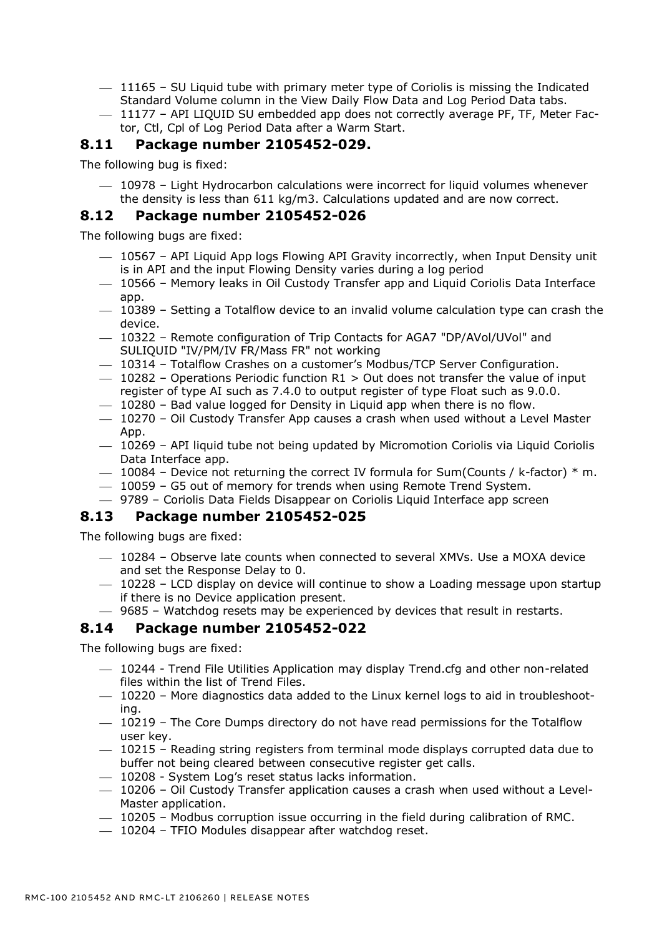- $-$  11165 SU Liquid tube with primary meter type of Coriolis is missing the Indicated Standard Volume column in the View Daily Flow Data and Log Period Data tabs.
- $-$  11177 API LIQUID SU embedded app does not correctly average PF, TF, Meter Factor, Ctl, Cpl of Log Period Data after a Warm Start.

#### <span id="page-16-0"></span>**8.11 Package number 2105452-029.**

The following bug is fixed:

 $-$  10978 – Light Hydrocarbon calculations were incorrect for liquid volumes whenever the density is less than 611 kg/m3. Calculations updated and are now correct.

#### <span id="page-16-1"></span>**8.12 Package number 2105452-026**

The following bugs are fixed:

- $-$  10567 API Liquid App logs Flowing API Gravity incorrectly, when Input Density unit is in API and the input Flowing Density varies during a log period
- $-$  10566 Memory leaks in Oil Custody Transfer app and Liquid Coriolis Data Interface app.
- $-$  10389 Setting a Totalflow device to an invalid volume calculation type can crash the device.
- $-$  10322 Remote configuration of Trip Contacts for AGA7 "DP/AVol/UVol" and SULIQUID "IV/PM/IV FR/Mass FR" not working
- ⎯ 10314 Totalflow Crashes on a customer's Modbus/TCP Server Configuration.
- $-$  10282 Operations Periodic function R1 > Out does not transfer the value of input register of type AI such as 7.4.0 to output register of type Float such as 9.0.0.
- $-$  10280 Bad value logged for Density in Liquid app when there is no flow.
- $-$  10270 Oil Custody Transfer App causes a crash when used without a Level Master App.
- ⎯ 10269 API liquid tube not being updated by Micromotion Coriolis via Liquid Coriolis Data Interface app.
- $-$  10084 Device not returning the correct IV formula for Sum(Counts / k-factor)  $*$  m.
- ⎯ 10059 G5 out of memory for trends when using Remote Trend System.
- ⎯ 9789 Coriolis Data Fields Disappear on Coriolis Liquid Interface app screen

#### <span id="page-16-2"></span>**8.13 Package number 2105452-025**

The following bugs are fixed:

- $-$  10284 Observe late counts when connected to several XMVs. Use a MOXA device and set the Response Delay to 0.
- $-$  10228 LCD display on device will continue to show a Loading message upon startup if there is no Device application present.
- ⎯ 9685 Watchdog resets may be experienced by devices that result in restarts.

#### <span id="page-16-3"></span>**8.14 Package number 2105452-022**

- ⎯ 10244 Trend File Utilities Application may display Trend.cfg and other non-related files within the list of Trend Files.
- $-$  10220 More diagnostics data added to the Linux kernel logs to aid in troubleshooting.
- $-$  10219 The Core Dumps directory do not have read permissions for the Totalflow user key.
- $-$  10215 Reading string registers from terminal mode displays corrupted data due to buffer not being cleared between consecutive register get calls.
- $-$  10208 System Log's reset status lacks information.
- $-$  10206 Oil Custody Transfer application causes a crash when used without a Level-Master application.
- $-$  10205 Modbus corruption issue occurring in the field during calibration of RMC.
- $-$  10204 TFIO Modules disappear after watchdog reset.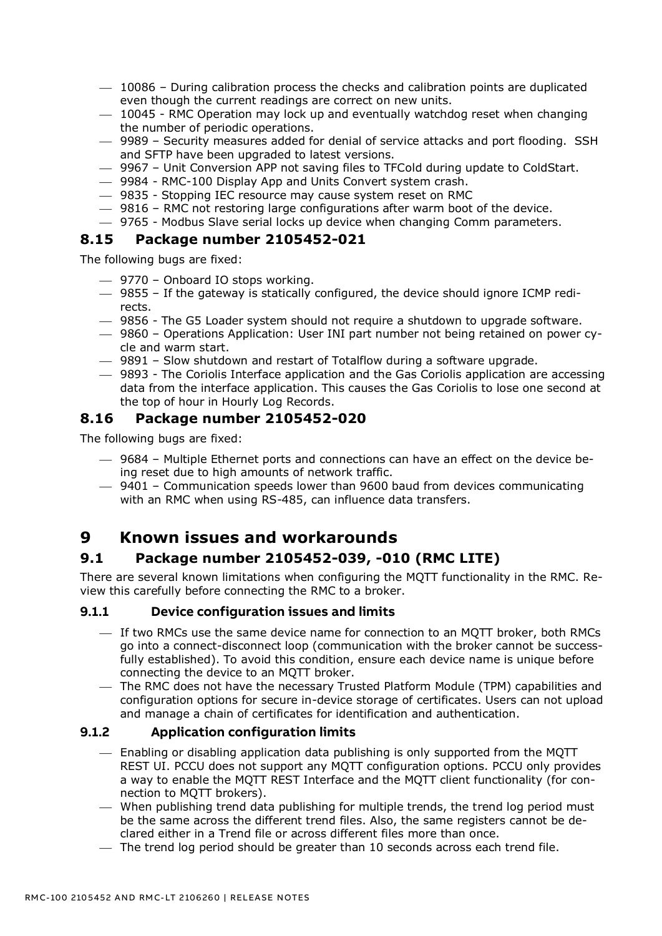- $-$  10086 During calibration process the checks and calibration points are duplicated even though the current readings are correct on new units.
- ⎯ 10045 RMC Operation may lock up and eventually watchdog reset when changing the number of periodic operations.
- ⎯ 9989 Security measures added for denial of service attacks and port flooding. SSH and SFTP have been upgraded to latest versions.
- $-$  9967 Unit Conversion APP not saving files to TFCold during update to ColdStart.
- $-$  9984 RMC-100 Display App and Units Convert system crash.
- $-$  9835 Stopping IEC resource may cause system reset on RMC
- $-$  9816 RMC not restoring large configurations after warm boot of the device.
- ⎯ 9765 Modbus Slave serial locks up device when changing Comm parameters.

#### <span id="page-17-0"></span>**8.15 Package number 2105452-021**

The following bugs are fixed:

- ⎯ 9770 Onboard IO stops working.
- $-$  9855 If the gateway is statically configured, the device should ignore ICMP redirects.
- $-$  9856 The G5 Loader system should not require a shutdown to upgrade software.
- ⎯ 9860 Operations Application: User INI part number not being retained on power cycle and warm start.
- $-$  9891 Slow shutdown and restart of Totalflow during a software upgrade.
- ⎯ 9893 The Coriolis Interface application and the Gas Coriolis application are accessing data from the interface application. This causes the Gas Coriolis to lose one second at the top of hour in Hourly Log Records.

#### <span id="page-17-1"></span>**8.16 Package number 2105452-020**

The following bugs are fixed:

- ⎯ 9684 Multiple Ethernet ports and connections can have an effect on the device being reset due to high amounts of network traffic.
- 9401 Communication speeds lower than 9600 baud from devices communicating with an RMC when using RS-485, can influence data transfers.

# <span id="page-17-2"></span>**9 Known issues and workarounds**

# <span id="page-17-3"></span>**9.1 Package number 2105452-039, -010 (RMC LITE)**

There are several known limitations when configuring the MQTT functionality in the RMC. Review this carefully before connecting the RMC to a broker.

#### **9.1.1 Device configuration issues and limits**

- ⎯ If two RMCs use the same device name for connection to an MQTT broker, both RMCs go into a connect-disconnect loop (communication with the broker cannot be successfully established). To avoid this condition, ensure each device name is unique before connecting the device to an MQTT broker.
- ⎯ The RMC does not have the necessary Trusted Platform Module (TPM) capabilities and configuration options for secure in-device storage of certificates. Users can not upload and manage a chain of certificates for identification and authentication.

#### **9.1.2 Application configuration limits**

- $-$  Enabling or disabling application data publishing is only supported from the MQTT REST UI. PCCU does not support any MQTT configuration options. PCCU only provides a way to enable the MQTT REST Interface and the MQTT client functionality (for connection to MQTT brokers).
- $-$  When publishing trend data publishing for multiple trends, the trend log period must be the same across the different trend files. Also, the same registers cannot be declared either in a Trend file or across different files more than once.
- ⎯ The trend log period should be greater than 10 seconds across each trend file.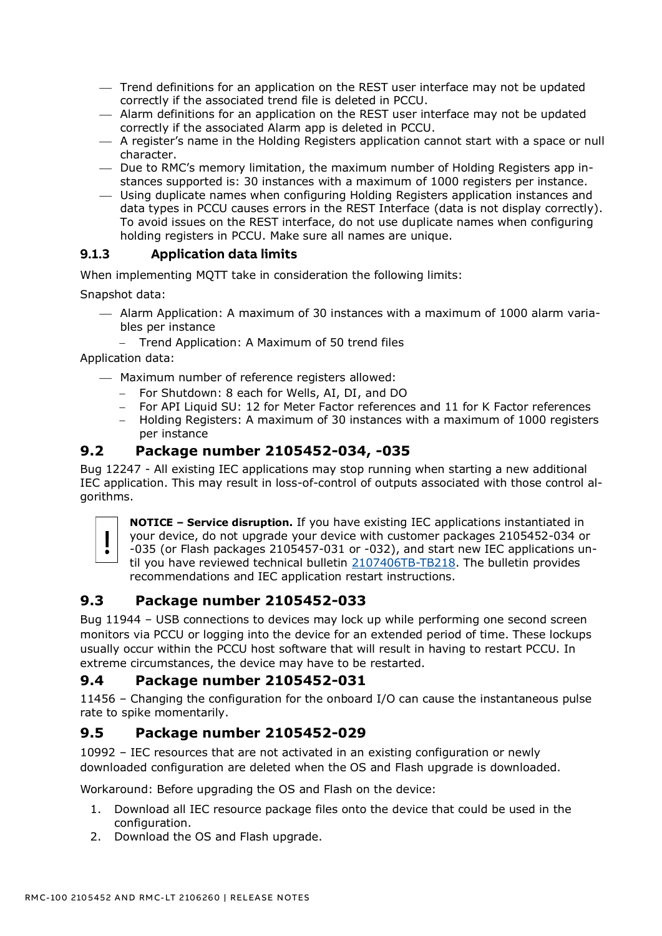- ⎯ Trend definitions for an application on the REST user interface may not be updated correctly if the associated trend file is deleted in PCCU.
- Alarm definitions for an application on the REST user interface may not be updated correctly if the associated Alarm app is deleted in PCCU.
- ⎯ A register's name in the Holding Registers application cannot start with a space or null character.
- ⎯ Due to RMC's memory limitation, the maximum number of Holding Registers app instances supported is: 30 instances with a maximum of 1000 registers per instance.
- ⎯ Using duplicate names when configuring Holding Registers application instances and data types in PCCU causes errors in the REST Interface (data is not display correctly). To avoid issues on the REST interface, do not use duplicate names when configuring holding registers in PCCU. Make sure all names are unique.

#### **9.1.3 Application data limits**

When implementing MQTT take in consideration the following limits:

Snapshot data:

- $-$  Alarm Application: A maximum of 30 instances with a maximum of 1000 alarm variables per instance
	- − Trend Application: A Maximum of 50 trend files

Application data:

- $-$  Maximum number of reference registers allowed:
	- − For Shutdown: 8 each for Wells, AI, DI, and DO
	- − For API Liquid SU: 12 for Meter Factor references and 11 for K Factor references
	- − Holding Registers: A maximum of 30 instances with a maximum of 1000 registers per instance

#### <span id="page-18-0"></span>**9.2 Package number 2105452-034, -035**

Bug 12247 - All existing IEC applications may stop running when starting a new additional IEC application. This may result in loss-of-control of outputs associated with those control algorithms.



**NOTICE – Service disruption.** If you have existing IEC applications instantiated in your device, do not upgrade your device with customer packages 2105452-034 or -035 (or Flash packages 2105457-031 or -032), and start new IEC applications un-

til you have reviewed technical bulletin [2107406TB-TB218.](https://search.abb.com/library/Download.aspx?DocumentID=TekBul%20218&LanguageCode=en&DocumentPartId=2107406TB-TB218&Action=Launch) The bulletin provides recommendations and IEC application restart instructions.

#### <span id="page-18-1"></span>**9.3 Package number 2105452-033**

Bug 11944 – USB connections to devices may lock up while performing one second screen monitors via PCCU or logging into the device for an extended period of time. These lockups usually occur within the PCCU host software that will result in having to restart PCCU. In extreme circumstances, the device may have to be restarted.

## <span id="page-18-2"></span>**9.4 Package number 2105452-031**

11456 – Changing the configuration for the onboard I/O can cause the instantaneous pulse rate to spike momentarily.

## <span id="page-18-3"></span>**9.5 Package number 2105452-029**

10992 – IEC resources that are not activated in an existing configuration or newly downloaded configuration are deleted when the OS and Flash upgrade is downloaded.

Workaround: Before upgrading the OS and Flash on the device:

- 1. Download all IEC resource package files onto the device that could be used in the configuration.
- 2. Download the OS and Flash upgrade.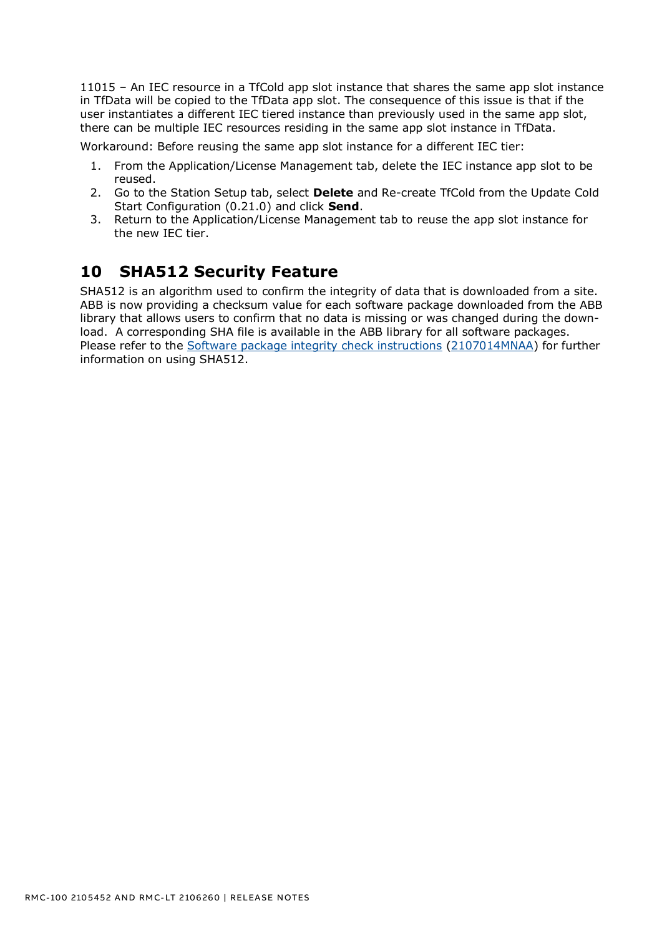11015 – An IEC resource in a TfCold app slot instance that shares the same app slot instance in TfData will be copied to the TfData app slot. The consequence of this issue is that if the user instantiates a different IEC tiered instance than previously used in the same app slot, there can be multiple IEC resources residing in the same app slot instance in TfData.

Workaround: Before reusing the same app slot instance for a different IEC tier:

- 1. From the Application/License Management tab, delete the IEC instance app slot to be reused.
- 2. Go to the Station Setup tab, select **Delete** and Re-create TfCold from the Update Cold Start Configuration (0.21.0) and click **Send**.
- 3. Return to the Application/License Management tab to reuse the app slot instance for the new IEC tier.

# <span id="page-19-0"></span>**10 SHA512 Security Feature**

SHA512 is an algorithm used to confirm the integrity of data that is downloaded from a site. ABB is now providing a checksum value for each software package downloaded from the ABB library that allows users to confirm that no data is missing or was changed during the download. A corresponding SHA file is available in the ABB library for all software packages. Please refer to the [Software package integrity check instructions](http://search.abb.com/library/Download.aspx?DocumentID=ML%2F2107014&LanguageCode=en&DocumentPartId=2107014&Action=Launch) [\(2107014MNAA\)](http://search.abb.com/library/Download.aspx?DocumentID=ML%2F2107014&LanguageCode=en&DocumentPartId=2107014&Action=Launch) for further information on using SHA512.